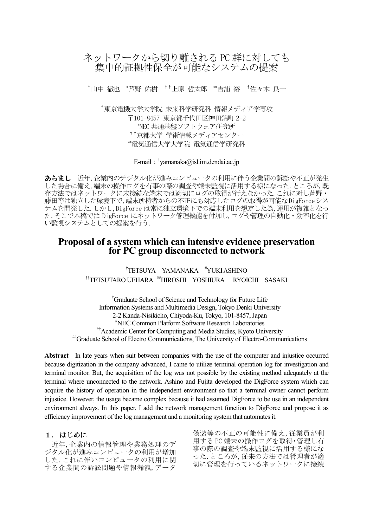# ネットワークから切り離される PC 群に対しても 集中的証拠性保全が可能なシステムの提案

†山中 徹也 \*芦野 佑樹 \*\*上原 哲太郎 \*\*吉浦 裕 \*佐々木 良一

†東京電機大学大学院 未来科学研究科 情報メディア学専攻 〒101-8457 東京都千代田区神田錦町 2-2 \*NEC 共通基盤ソフトウェア研究所 ††京都大学 学術情報メディアセンター \*雷気通信大学大学院 雷気通信学研究科

E-mail: <sup>†</sup>yamanaka@isl.im.dendai.ac.jp

あらまし 近年、企業内のデジタル化が進みコンピュータの利用に伴う企業間の訴訟や不正が発生 した場合に備え、端末の操作ログを有事の際の調査や端末監視に活用する様になった。ところが、既 存方法ではネットワークに未接続な端末では適切にログの取得が行えなかった. これに対し芦野· 藤田等は独立した環境下で、端末所持者からの不正にも対応したログの取得が可能なDigForceシス テムを開発した. しかし, DigForce は常に独立環境下での端末利用を想定した為, 運用が複雑となっ た. そこで本稿では DigForce にネットワーク管理機能を付加し、ログや管理の自動化・効率化を行 い監視システムとしての提案を行う.

# **Proposal of a system which can intensive evidence preservation for PC group disconnected to network**

† TETSUYA YAMANAKA #YUKI ASHINO ††TETSUTARO UEHARA ##HIROSHI YOSHIURA †RYOICHI SASAKI

†Graduate School of Science and Technology for Future Life Information Systems and Multimedia Design, Tokyo Denki University 2-2 Kanda-Nisikicho, Chiyoda-Ku, Tokyo, 101-8457, Japan #NEC Common Platform Software Research Laboratories ††Academic Center for Computing and Media Studies, Kyoto University ##Graduate School of Electro Communications, The University of Electro-Communications

**Abstract** In late years when suit between companies with the use of the computer and injustice occurred because digitization in the company advanced, I came to utilize terminal operation log for investigation and terminal monitor. But, the acquisition of the log was not possible by the existing method adequately at the terminal where unconnected to the network. Ashino and Fujita developed the DigForce system which can acquire the history of operation in the independent environment so that a terminal owner cannot perform injustice. However, the usage became complex because it had assumed DigForce to be use in an independent environment always. In this paper, I add the network management function to DigForce and propose it as efficiency improvement of the log management and a monitoring system that automates it.

### 1. はじめに

近年, 企業内の情報管理や業務処理のデ ジタル化が進みコンピュータの利用が増加 した.これに伴いコンピュータの利用に関 する企業間の訴訟問題や情報漏洩,データ

偽装等の不正の可能性に備え,従業員が利 用するPC 端末の操作ログを取得·管理し有 事の際の調査や端末監視に活用する様にな った. ところが、従来の方法では管理者が適 切に管理を行っているネットワークに接続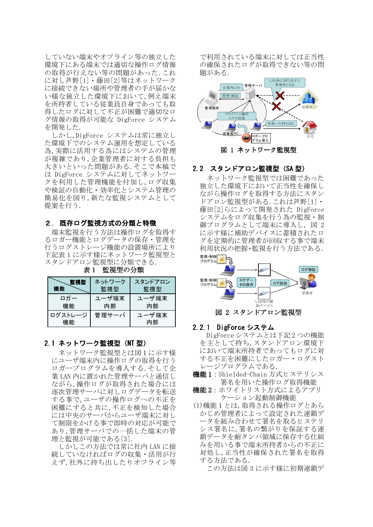していない端末やオフライン等の独立した 環境下にある端末では適切な操作ログ情報 の取得が行えない等の問題があった. これ に対し芦野[1] · 藤田[2]等はネットワーク に接続できない場所や管理者の手が届かな い様な独立した環境下において,例え端末 を所持者している従業員自身であっても取 得したログに対して不正が困難で適切なロ グ情報の取得が可能な DigForce システム を開発した.

しかし、DigForce システムは常に独立し た環境下でのシステム運用を想定している 為.実際に活用する為にはシステムの管理 が複雑であり,企業管理者に対する負担も 大きいといった問題がある.そこで本稿で は DigForce システムに対してネットワー クを利用した管理機能を付加し、ログ収集 や検証の自動化·効率化とシステム管理の 簡易化を図り, 新たな監視システムとして 提案を行う.

### 2. 既存ログ監視方式の分類と特徴

端末監視を行う方法は操作ログを取得す るロガー機能とログデータの保存・管理を 行うログストレージ機能の設置場所により 下記表1に示す様にネットワーク監視型と スタンドアロン監視型に分類できる.

| 監視型           | ネットワーク | スタンドアロン     |
|---------------|--------|-------------|
| 機能            | 監視型    | 監視型         |
| ロガー           | ユーザ端末  | ューザ端末       |
| 機能            | 内部     | 内部          |
| ログストレージ<br>機能 | 管理サーバ  | ューザ端末<br>内部 |

表1 監視型の分類

#### 2.1 ネットワーク監視型 (NT 型)

ネットワーク監視型とは図1に示す様 にユーザ端末内に操作ログの取得を行う ロガープログラムを導入する. そして企 業 LAN 内に置かれた管理サーバと通信し ながら,操作ログが取得された場合には 逐次管理サーバに対しログデータを転送 する事で, ユーザの操作ログへの不正を 困難にすると共に,不正を検知した場合 には中央のサーバからユーザ端末に対し て制限をかける事で即時の対応が可能で あり,管理サーバでの一括した端末の管 理と監視が可能である[3].

しかしこの方法では常に社内 LAN に接 続していなければログの収集・活用が行 えず、社外に持ち出したりオフライン等

で利用されている端末に対しては正当性 の確保されたログが取得できない等の問 題がある.



図 1 ネットワーク監視型

### 2.2 スタンドアロン監視型 (SA型)

ネットワーク監視型では困難であった 独立した環境下において正当性を確保し ながら操作ログを取得する方法にスタン ドアロン監視型がある.これは芦野[1]。 藤田[2]らによって開発された DigForce システムをログ収集を行う為の監視・制 御プログラムとして端末に導入し、図2 に示す様に補助デバイスに蓄積されたロ グを定期的に管理者が回収する事で端末 利用状況の把握·監視を行う方法である.



#### 2.2.1 DigForce システム

- DigForce システムとは下記2つの機能 を主として持ち、スタンドアロン環境下 において端末所持者であってもログに対 する不正を困難にしたロガー・ログスト レージプログラムである.
- 機能1: Shielded-Chain 方式ヒステリシス 署名を用いた操作ログ取得機能
- 機能2:ホワイトリスト方式によるアプリ ケーション起動制御機能
- (1)機能1とは、取得される操作ログとあら かじめ管理者によって設定された連鎖デ ータを組み合わせて署名を取るヒステリ シス署名に,署名の繋がりを保証する連 鎖データを耐タンパ領域に保存する仕組 みを用いる事で端末所持者からの不正に 対処し,正当性が確保された署名を取得 する方法である.

この方法は図 3 に示す様に初期連鎖デ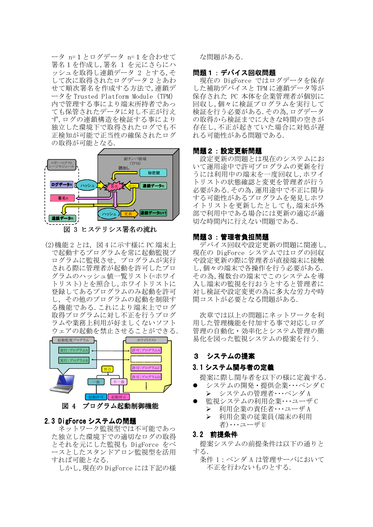ータ n=1とログデータ n=1を合わせて 署名1を作成し,署名1を元にさらにハ ッシュを取得し連鎖データ 2 とする.そ して次に取得されたログデータ2とあわ せて順次署名を作成する方法で,連鎖デ ータを Trusted Platform Module (TPM) 内で管理する事により端末所持者であっ ても保管されたデータに対し不正が行え ず,ログの連鎖構造を検証する事により 独立した環境下で取得されたログでも不 正検知が可能で正当性の確保されたログ の取得が可能となる.



図 3 ヒステリシス署名の流れ

(2) 機能 2 とは、 図 4 に示す様に PC 端末上 で起動するプログラムを常に起動監視プ ログラムに監視させ、プログラムが実行 される際に管理者が起動を許可したプロ グラムのハッシュ値一覧リスト(=ホワイ トリスト)とを照合し、ホワイトリストに 登録してあるプログラムのみ起動を許可 し、その他のプログラムの起動を制限す る機能である. これにより端末上でログ 取得プログラムに対し不正を行うプログ ラムや業務上利用が好ましくないソフト ウェアの起動を禁止させることができる.



図 4 プログラム起動制御機能

## 2.3 DigForce システムの問題

ネットワーク監視型では不可能であっ た独立した環境下での適切なログの取得 とそれを元にした監視も DigForce をべ ースとしたスタンドアロン監視型を活用 すれば可能となる.

しかし、現在の DigForce には下記の様

な問題がある.

### 問題1:デバイス回収問題

現在の DigForce ではログデータを保存 した補助デバイスと TPM に連鎖データ等が 保存された PC 本体を企業管理者が個別に 回収し,個々に検証プログラムを実行して 検証を行う必要がある. その為, ログデータ の取得から検証までに大きな時間の空きが 存在し,不正が起きていた場合に対処が遅 れる可能性がある問題である.

### 問題2:設定更新問題

設定更新の問題とは現在のシステムにお いて運用途中で許可プログラムの更新を行 うには利用中の端末を一度回収し,ホワイ トリストの状態確認と変更を管理者が行う 必要がある. その為, 運用途中で不正に関与 する可能性があるプログラムを発見しホワ イトリストを更新したとしても,端末が外 部で利用中である場合には更新の適応が適 切な時間内に行えない問題である。

## 問題3:管理者負担問題

デバイス回収や設定更新の問題に関連し, 現在の DigForce システムではログの回収 や設定更新の際に管理者が直接端末に接触 し、個々の端末で各操作を行う必要がある. その為,複数台の端末でこのシステムを導 入し端末の監視を行おうとすると管理者に 対し検証や設定変更の為に多大な労力や時 間コストが必要となる問題がある.

次章では以上の問題にネットワークを利 用した管理機能を付加する事で対応しログ 管理の自動化・効率化とシステム管理の簡 易化を図った監視システムの提案を行う.

# 3 システムの提案

# 3.1 システム関与者の定義

- 提案に際し関与者を以下の様に定義する.
- システムの開発·提供企業···ベンダC > システムの管理者···ベンダA
- 監視システムの利用企業···ユーザC  $\blacktriangleright$ 利用企業の責任者・・・ユーザA  $\blacktriangleright$ 利用企業の従業員 (端末の利用 者)…ユーザ U

## 3.2 前提条件

提案システムの前提条件は以下の通りと する.

条件 1 : ベンダ A は管理サーバにおいて 不正を行わないものとする.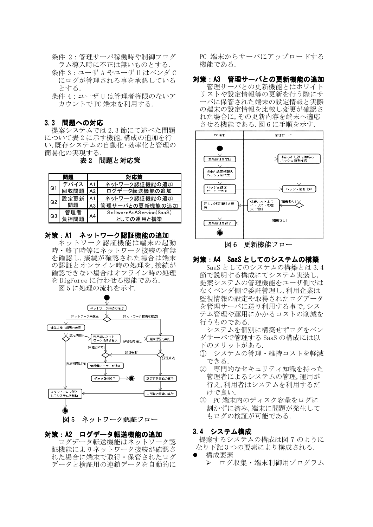- 条件 2:管理サーバ稼働時や制御プログ ラム導入時に不正は無いものとする.
- 条件 3 : ユーザ A やユーザ II はベンダ C にログが管理される事を承認している とする.
- 条件 4 : ユーザ II は管理者権限のないア カウントで PC 端末を利用する.

# 3.3 問題への対応

提案システムでは2.3節にて述べた問題 について表2に示す機能,構成の追加を行 い,既存システムの自動化・効率化と管理の 簡易化の実現する.

表2 問題と対応策

|                | 問題   | 対応策 |                          |
|----------------|------|-----|--------------------------|
| Q1             | デバイス | A 1 | ネットワーク認証機能の追加            |
|                | 回収問題 | A2  | ログデータ転送機能の追加             |
| O <sub>2</sub> | 設定更新 | A 1 | ネットワーク認証機能の追加            |
|                | 問題   | A3  | 管理サーバとの更新機能の追加           |
| Q3             | 管理者  | А4  | SoftwareAsAService(SaaS) |
|                | 負担問題 |     | としての運用と構築                |

# 対策: A1 ネットワーク認証機能の追加

ネットワーク認証機能は端末の起動 時・終了時等にネットワーク接続の有無 を確認し,接続が確認された場合は端末 の認証とオンライン時の処理を,接続が 確認できない場合はオフライン時の処理 を DigForce に行わせる機能である.



# 対策: A2 ログデータ転送機能の追加

ログデータ転送機能はネットワーク認 証機能によりネットワーク接続が確認さ れた場合に端末で取得·保管されたログ データと検証用の連鎖データを自動的に

PC 端末からサーバにアップロードする 機能である.

対策: A3 管理サーバとの更新機能の追加 管理サーバとの更新機能とはホワイト リストや設定情報等の更新を行う際にサ ーバに保管された端末の設定情報と実際 の端末の設定情報を比較し変更が確認さ れた場合に,その更新内容を端末へ適応 させる機能である.図6に手順を示す.



図6 更新機能フロー

## 対策: A4 SaaS としてのシステムの構築

SaaS としてのシステムの構築とは 3.4 節で説明する構成にてシステム実装し, 提案システムの管理機能をユーザ側では なくベンダ側で委託管理し,利用企業は 監視情報の設定や取得されたログデータ を管理サーバに送り利用する事で、シス テム管理や運用にかかるコストの削減を 行うものである.

システムを個別に構築せずログをベン ダサーバで管理する SaaS の構成には以 下のメリットがある.

- (1) システムの管理・維持コストを軽減 できる.
- ② 専門的なセキュリティ知識を持った 管理者によるシステムの管理, 運用が 行え,利用者はシステムを利用するだ けで良い.
- 3 PC 端末内のディスク容量をログに 割かずに済み,端末に問題が発生して もログの検証が可能である.

### 3.4 システム構成

提案するシステムの構成は図 7 のように なり下記3つの要素により構成される.

構成要素 > ログ収集・端末制御用プログラム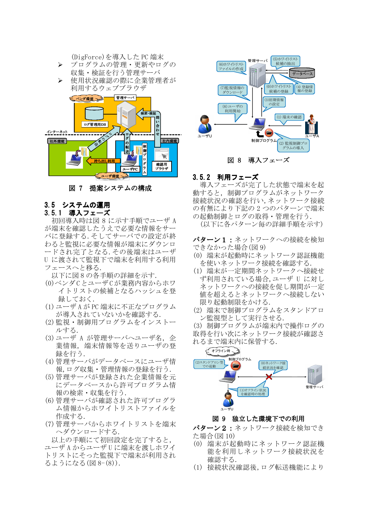

(DigForce)を導入した PC 端末

図 7 提案システムの構成

# 3.5 システムの運用

### 3.5.1 導入フェーズ

初回導入時は図 8 に示す手順でユーザ A が端末を確認したうえで必要な情報をサー バに登録する. そしてサーバでの設定が終 わると監視に必要な情報が端末にダウンロ ードされ完了となる. その後端末はユーザ U に渡されて監視下で端末を利用する利用 フェースへと移る.

以下に図8の各手順の詳細を示す.

- (0)ベンダCとユーザCが業務内容からホワ イトリストの候補となるハッシュを登 録しておく.
- (1) ユーザ A が PC 端末に不正なプログラム が導入されていないかを確認する.
- (2) 監視·制御用プログラムをインストー ルする.
- (3) ユーザ Α が管理サーバヘユーザ名, 企 業情報、端末情報等を送りユーザの登 録を行う.
- (4) 管理サーバがデータベースにユーザ情 報,ログ収集・管理情報の登録を行う.
- (5)管理サーバが登録された企業情報を元 にデータベースから許可プログラム情 報の検索・収集を行う.
- (6) 管理サーバが確認された許可プログラ ム情報からホワイトリストファイルを 作成する.
- (7) 管理サーバからホワイトリストを端末 へダウンロードする.

以上の手順にて初回設定を完了すると, ユーザA からユーザU に端末を渡しホワイ トリストにそった監視下で端末が利用され るようになる (図 8-(8)).



### 3.5.2 利用フェーズ

導入フェーズが完了した状態で端末を起 動すると、制御プログラムがネットワーク 接続状況の確認を行い、ネットワーク接続 の有無により下記の2つのパターンで端末 の起動制御とログの取得·管理を行う.

(以下に各パターン毎の詳細手順を示す)

パターン1:ネットワークへの接続を検知 できなかった場合(図9)

- (0) 端末が起動時にネットワーク認証機能 を使いネットワーク接続を確認する.
- (1) 端末が一定期間ネットワークへ接続せ ず利用されている場合. ユーザ U に対し ネットワークへの接続を促し期間が一定 値を超えるとネットワークへ接続しない 限り起動制限をかける.
- (2) 端末で制御プログラムをスタンドアロ ン監視型として実行させる.

(3) 制御プログラムが端末内で操作ログの 取得を行い次にネットワーク接続が確認さ れるまで端末内に保管する.



## 図 9 独立した環境下での利用

パターン2: ネットワーク接続を検知でき た場合(図 10)

- (0) 端末が起動時にネットワーク認証機 能を利用しネットワーク接続状況を 確認する.
- (1) 接続状況確認後,ログ転送機能により